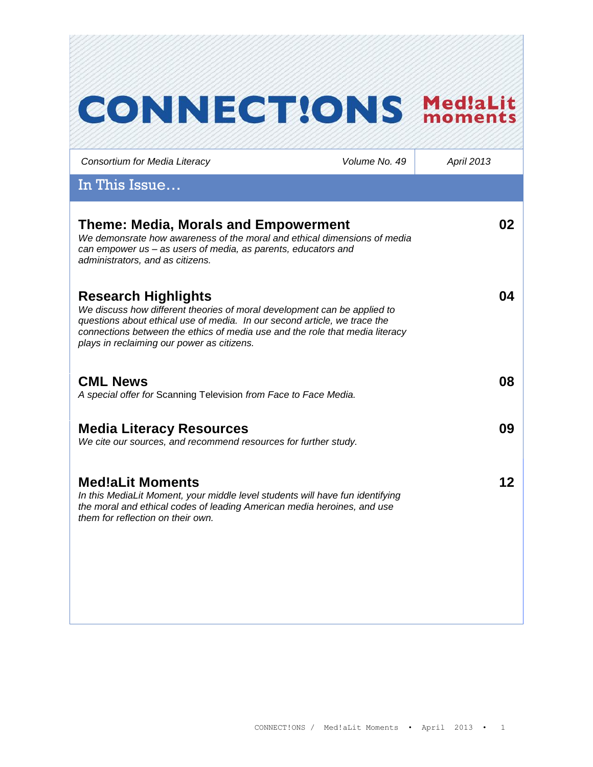# **CONNECT!ONS Med!aLit** *Consortium for Media Literacy Volume No. 49 April 2013* In This Issue… **Theme: Media, Morals and Empowerment 02** *We demonsrate how awareness of the moral and ethical dimensions of media can empower us – as users of media, as parents, educators and administrators, and as citizens.* **04 Research Highlights** *We discuss how different theories of moral development can be applied to questions about ethical use of media. In our second article, we trace the connections between the ethics of media use and the role that media literacy plays in reclaiming our power as citizens.*  **CML News 08** *A special offer for* Scanning Television *from Face to Face Media.*  **Media Literacy Resources 09** We cite our sources, and recommend resources for further *study*. **Med!aLit Moments 12***In this MediaLit Moment, your middle level students will have fun identifying the moral and ethical codes of leading American media heroines, and use them for reflection on their own.*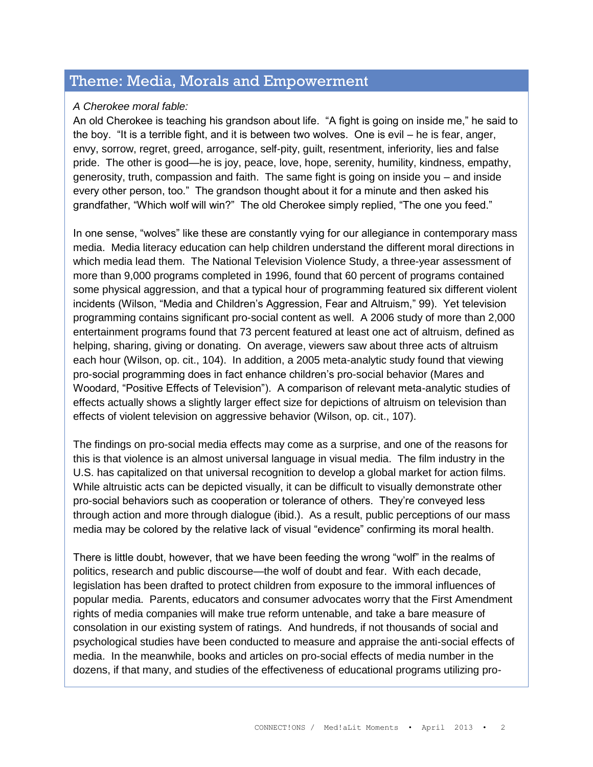### Theme: Media, Morals and Empowerment

#### *A Cherokee moral fable:*

An old Cherokee is teaching his grandson about life. "A fight is going on inside me," he said to the boy. "It is a terrible fight, and it is between two wolves. One is evil – he is fear, anger, envy, sorrow, regret, greed, arrogance, self-pity, guilt, resentment, inferiority, lies and false pride. The other is good—he is joy, peace, love, hope, serenity, humility, kindness, empathy, generosity, truth, compassion and faith. The same fight is going on inside you – and inside every other person, too." The grandson thought about it for a minute and then asked his grandfather, "Which wolf will win?" The old Cherokee simply replied, "The one you feed."

In one sense, "wolves" like these are constantly vying for our allegiance in contemporary mass media. Media literacy education can help children understand the different moral directions in which media lead them. The National Television Violence Study, a three-year assessment of more than 9,000 programs completed in 1996, found that 60 percent of programs contained some physical aggression, and that a typical hour of programming featured six different violent incidents (Wilson, "Media and Children's Aggression, Fear and Altruism," 99). Yet television programming contains significant pro-social content as well. A 2006 study of more than 2,000 entertainment programs found that 73 percent featured at least one act of altruism, defined as helping, sharing, giving or donating. On average, viewers saw about three acts of altruism each hour (Wilson, op. cit., 104). In addition, a 2005 meta-analytic study found that viewing pro-social programming does in fact enhance children's pro-social behavior (Mares and Woodard, "Positive Effects of Television"). A comparison of relevant meta-analytic studies of effects actually shows a slightly larger effect size for depictions of altruism on television than effects of violent television on aggressive behavior (Wilson, op. cit., 107).

The findings on pro-social media effects may come as a surprise, and one of the reasons for this is that violence is an almost universal language in visual media. The film industry in the U.S. has capitalized on that universal recognition to develop a global market for action films. While altruistic acts can be depicted visually, it can be difficult to visually demonstrate other pro-social behaviors such as cooperation or tolerance of others. They're conveyed less through action and more through dialogue (ibid.). As a result, public perceptions of our mass media may be colored by the relative lack of visual "evidence" confirming its moral health.

There is little doubt, however, that we have been feeding the wrong "wolf" in the realms of politics, research and public discourse—the wolf of doubt and fear. With each decade, legislation has been drafted to protect children from exposure to the immoral influences of popular media. Parents, educators and consumer advocates worry that the First Amendment rights of media companies will make true reform untenable, and take a bare measure of consolation in our existing system of ratings. And hundreds, if not thousands of social and psychological studies have been conducted to measure and appraise the anti-social effects of media. In the meanwhile, books and articles on pro-social effects of media number in the dozens, if that many, and studies of the effectiveness of educational programs utilizing pro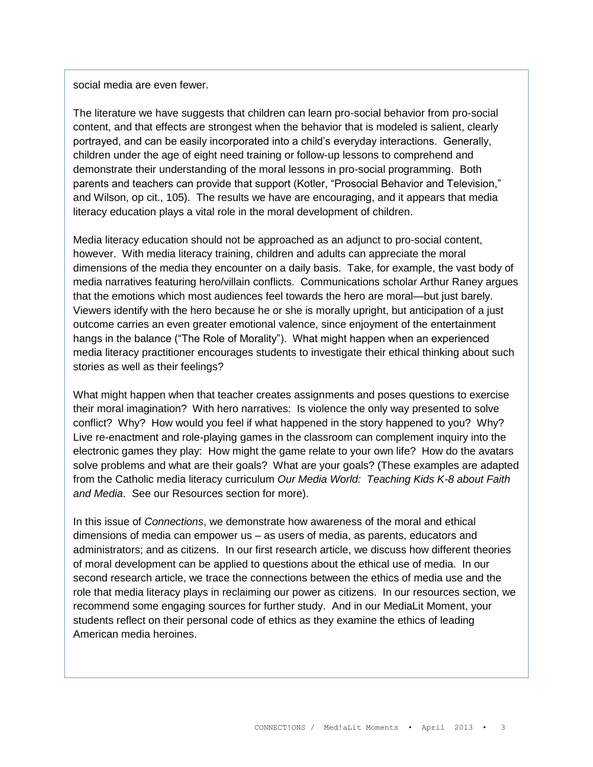social media are even fewer.

The literature we have suggests that children can learn pro-social behavior from pro-social content, and that effects are strongest when the behavior that is modeled is salient, clearly portrayed, and can be easily incorporated into a child's everyday interactions. Generally, children under the age of eight need training or follow-up lessons to comprehend and demonstrate their understanding of the moral lessons in pro-social programming. Both parents and teachers can provide that support (Kotler, "Prosocial Behavior and Television," and Wilson, op cit., 105). The results we have are encouraging, and it appears that media literacy education plays a vital role in the moral development of children.

Media literacy education should not be approached as an adjunct to pro-social content, however. With media literacy training, children and adults can appreciate the moral dimensions of the media they encounter on a daily basis. Take, for example, the vast body of media narratives featuring hero/villain conflicts. Communications scholar Arthur Raney argues that the emotions which most audiences feel towards the hero are moral—but just barely. Viewers identify with the hero because he or she is morally upright, but anticipation of a just outcome carries an even greater emotional valence, since enjoyment of the entertainment hangs in the balance ("The Role of Morality"). What might happen when an experienced media literacy practitioner encourages students to investigate their ethical thinking about such stories as well as their feelings?

What might happen when that teacher creates assignments and poses questions to exercise their moral imagination? With hero narratives: Is violence the only way presented to solve conflict? Why? How would you feel if what happened in the story happened to you? Why? Live re-enactment and role-playing games in the classroom can complement inquiry into the electronic games they play: How might the game relate to your own life? How do the avatars solve problems and what are their goals? What are your goals? (These examples are adapted from the Catholic media literacy curriculum *Our Media World: Teaching Kids K-8 about Faith and Media*. See our Resources section for more).

In this issue of *Connections*, we demonstrate how awareness of the moral and ethical dimensions of media can empower us – as users of media, as parents, educators and administrators; and as citizens. In our first research article, we discuss how different theories of moral development can be applied to questions about the ethical use of media. In our second research article, we trace the connections between the ethics of media use and the role that media literacy plays in reclaiming our power as citizens. In our resources section, we recommend some engaging sources for further study. And in our MediaLit Moment, your students reflect on their personal code of ethics as they examine the ethics of leading American media heroines.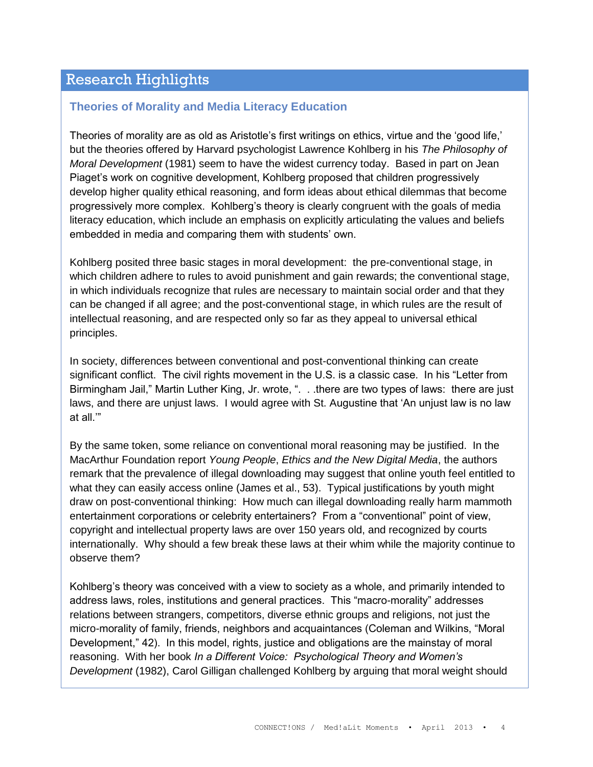### Research Highlights

#### **Theories of Morality and Media Literacy Education**

Theories of morality are as old as Aristotle's first writings on ethics, virtue and the 'good life,' but the theories offered by Harvard psychologist Lawrence Kohlberg in his *The Philosophy of Moral Development* (1981) seem to have the widest currency today. Based in part on Jean Piaget's work on cognitive development, Kohlberg proposed that children progressively develop higher quality ethical reasoning, and form ideas about ethical dilemmas that become progressively more complex. Kohlberg's theory is clearly congruent with the goals of media literacy education, which include an emphasis on explicitly articulating the values and beliefs embedded in media and comparing them with students' own.

Kohlberg posited three basic stages in moral development: the pre-conventional stage, in which children adhere to rules to avoid punishment and gain rewards; the conventional stage, in which individuals recognize that rules are necessary to maintain social order and that they can be changed if all agree; and the post-conventional stage, in which rules are the result of intellectual reasoning, and are respected only so far as they appeal to universal ethical principles.

In society, differences between conventional and post-conventional thinking can create significant conflict. The civil rights movement in the U.S. is a classic case. In his "Letter from Birmingham Jail," Martin Luther King, Jr. wrote, ". . . there are two types of laws: there are just laws, and there are unjust laws. I would agree with St. Augustine that 'An unjust law is no law at all.'"

By the same token, some reliance on conventional moral reasoning may be justified. In the MacArthur Foundation report *Young People*, *Ethics and the New Digital Media*, the authors remark that the prevalence of illegal downloading may suggest that online youth feel entitled to what they can easily access online (James et al., 53). Typical justifications by youth might draw on post-conventional thinking: How much can illegal downloading really harm mammoth entertainment corporations or celebrity entertainers? From a "conventional" point of view, copyright and intellectual property laws are over 150 years old, and recognized by courts internationally. Why should a few break these laws at their whim while the majority continue to observe them?

Kohlberg's theory was conceived with a view to society as a whole, and primarily intended to address laws, roles, institutions and general practices. This "macro-morality" addresses relations between strangers, competitors, diverse ethnic groups and religions, not just the micro-morality of family, friends, neighbors and acquaintances (Coleman and Wilkins, "Moral Development," 42). In this model, rights, justice and obligations are the mainstay of moral reasoning. With her book *In a Different Voice: Psychological Theory and Women's Development* (1982), Carol Gilligan challenged Kohlberg by arguing that moral weight should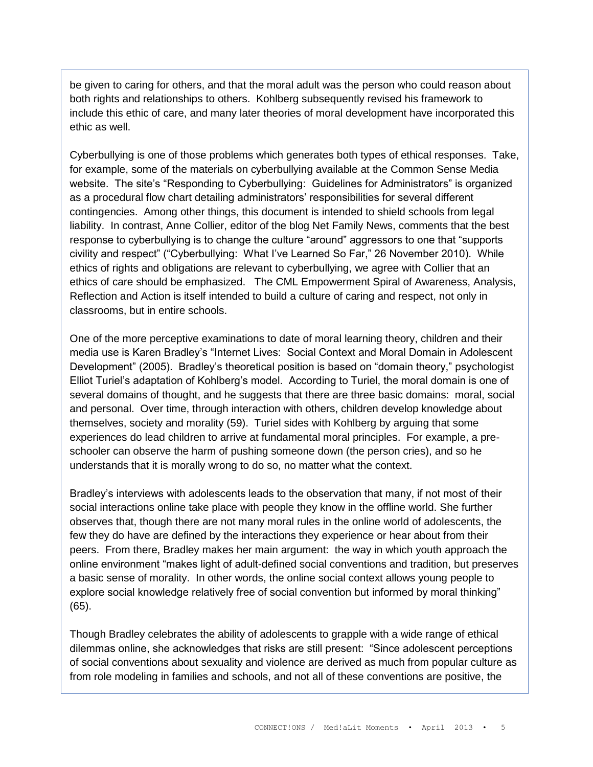be given to caring for others, and that the moral adult was the person who could reason about both rights and relationships to others. Kohlberg subsequently revised his framework to include this ethic of care, and many later theories of moral development have incorporated this ethic as well.

Cyberbullying is one of those problems which generates both types of ethical responses. Take, for example, some of the materials on cyberbullying available at the Common Sense Media website. The site's "Responding to Cyberbullying: Guidelines for Administrators" is organized as a procedural flow chart detailing administrators' responsibilities for several different contingencies. Among other things, this document is intended to shield schools from legal liability. In contrast, Anne Collier, editor of the blog Net Family News, comments that the best response to cyberbullying is to change the culture "around" aggressors to one that "supports civility and respect" ("Cyberbullying: What I've Learned So Far," 26 November 2010). While ethics of rights and obligations are relevant to cyberbullying, we agree with Collier that an ethics of care should be emphasized. The CML Empowerment Spiral of Awareness, Analysis, Reflection and Action is itself intended to build a culture of caring and respect, not only in classrooms, but in entire schools.

One of the more perceptive examinations to date of moral learning theory, children and their media use is Karen Bradley's "Internet Lives: Social Context and Moral Domain in Adolescent Development" (2005). Bradley's theoretical position is based on "domain theory," psychologist Elliot Turiel's adaptation of Kohlberg's model. According to Turiel, the moral domain is one of several domains of thought, and he suggests that there are three basic domains: moral, social and personal. Over time, through interaction with others, children develop knowledge about themselves, society and morality (59). Turiel sides with Kohlberg by arguing that some experiences do lead children to arrive at fundamental moral principles. For example, a preschooler can observe the harm of pushing someone down (the person cries), and so he understands that it is morally wrong to do so, no matter what the context.

Bradley's interviews with adolescents leads to the observation that many, if not most of their social interactions online take place with people they know in the offline world. She further observes that, though there are not many moral rules in the online world of adolescents, the few they do have are defined by the interactions they experience or hear about from their peers. From there, Bradley makes her main argument: the way in which youth approach the online environment "makes light of adult-defined social conventions and tradition, but preserves a basic sense of morality. In other words, the online social context allows young people to explore social knowledge relatively free of social convention but informed by moral thinking" (65).

Though Bradley celebrates the ability of adolescents to grapple with a wide range of ethical dilemmas online, she acknowledges that risks are still present: "Since adolescent perceptions of social conventions about sexuality and violence are derived as much from popular culture as from role modeling in families and schools, and not all of these conventions are positive, the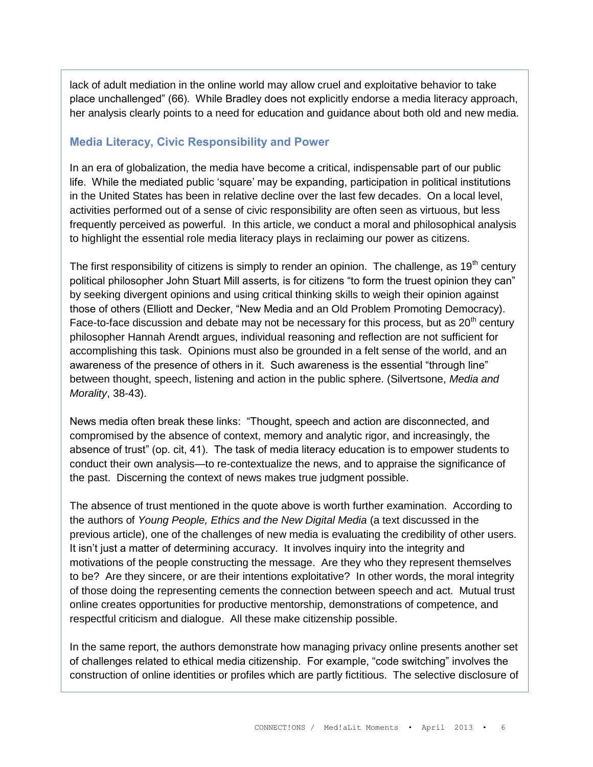lack of adult mediation in the online world may allow cruel and exploitative behavior to take place unchallenged" (66). While Bradley does not explicitly endorse a media literacy approach, her analysis clearly points to a need for education and guidance about both old and new media.

#### **Media Literacy, Civic Responsibility and Power**

In an era of globalization, the media have become a critical, indispensable part of our public life. While the mediated public 'square' may be expanding, participation in political institutions in the United States has been in relative decline over the last few decades. On a local level, activities performed out of a sense of civic responsibility are often seen as virtuous, but less frequently perceived as powerful. In this article, we conduct a moral and philosophical analysis to highlight the essential role media literacy plays in reclaiming our power as citizens.

The first responsibility of citizens is simply to render an opinion. The challenge, as  $19<sup>th</sup>$  century political philosopher John Stuart Mill asserts, is for citizens "to form the truest opinion they can" by seeking divergent opinions and using critical thinking skills to weigh their opinion against those of others (Elliott and Decker, "New Media and an Old Problem Promoting Democracy). Face-to-face discussion and debate may not be necessary for this process, but as  $20<sup>th</sup>$  century philosopher Hannah Arendt argues, individual reasoning and reflection are not sufficient for accomplishing this task. Opinions must also be grounded in a felt sense of the world, and an awareness of the presence of others in it. Such awareness is the essential "through line" between thought, speech, listening and action in the public sphere. (Silvertsone, *Media and Morality*, 38-43).

News media often break these links: "Thought, speech and action are disconnected, and compromised by the absence of context, memory and analytic rigor, and increasingly, the absence of trust" (op. cit, 41). The task of media literacy education is to empower students to conduct their own analysis—to re-contextualize the news, and to appraise the significance of the past. Discerning the context of news makes true judgment possible.

The absence of trust mentioned in the quote above is worth further examination. According to the authors of *Young People, Ethics and the New Digital Media* (a text discussed in the previous article), one of the challenges of new media is evaluating the credibility of other users. It isn't just a matter of determining accuracy. It involves inquiry into the integrity and motivations of the people constructing the message. Are they who they represent themselves to be? Are they sincere, or are their intentions exploitative? In other words, the moral integrity of those doing the representing cements the connection between speech and act. Mutual trust online creates opportunities for productive mentorship, demonstrations of competence, and respectful criticism and dialogue. All these make citizenship possible.

In the same report, the authors demonstrate how managing privacy online presents another set of challenges related to ethical media citizenship. For example, "code switching" involves the construction of online identities or profiles which are partly fictitious. The selective disclosure of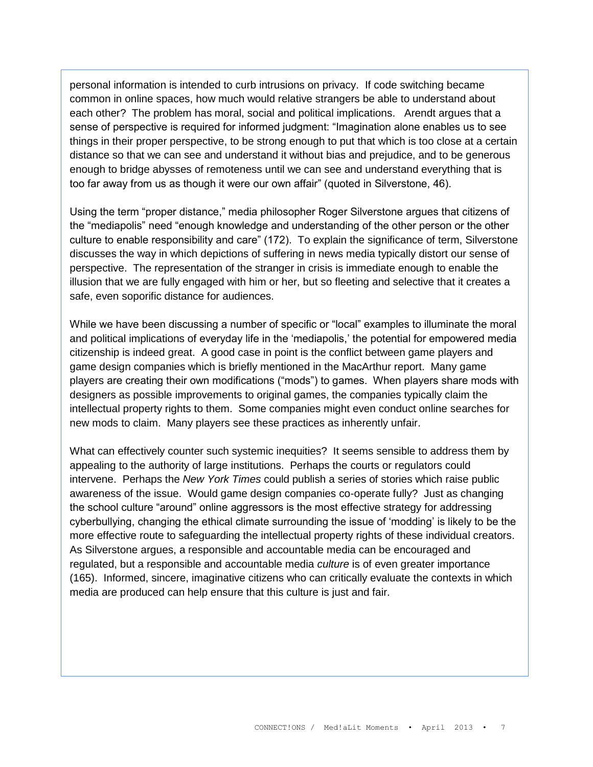personal information is intended to curb intrusions on privacy. If code switching became common in online spaces, how much would relative strangers be able to understand about each other? The problem has moral, social and political implications. Arendt argues that a sense of perspective is required for informed judgment: "Imagination alone enables us to see things in their proper perspective, to be strong enough to put that which is too close at a certain distance so that we can see and understand it without bias and prejudice, and to be generous enough to bridge abysses of remoteness until we can see and understand everything that is too far away from us as though it were our own affair" (quoted in Silverstone, 46).

Using the term "proper distance," media philosopher Roger Silverstone argues that citizens of the "mediapolis" need "enough knowledge and understanding of the other person or the other culture to enable responsibility and care" (172). To explain the significance of term, Silverstone discusses the way in which depictions of suffering in news media typically distort our sense of perspective. The representation of the stranger in crisis is immediate enough to enable the illusion that we are fully engaged with him or her, but so fleeting and selective that it creates a safe, even soporific distance for audiences.

While we have been discussing a number of specific or "local" examples to illuminate the moral and political implications of everyday life in the 'mediapolis,' the potential for empowered media citizenship is indeed great. A good case in point is the conflict between game players and game design companies which is briefly mentioned in the MacArthur report. Many game players are creating their own modifications ("mods") to games. When players share mods with designers as possible improvements to original games, the companies typically claim the intellectual property rights to them. Some companies might even conduct online searches for new mods to claim. Many players see these practices as inherently unfair.

What can effectively counter such systemic inequities? It seems sensible to address them by appealing to the authority of large institutions. Perhaps the courts or regulators could intervene. Perhaps the *New York Times* could publish a series of stories which raise public awareness of the issue. Would game design companies co-operate fully? Just as changing the school culture "around" online aggressors is the most effective strategy for addressing cyberbullying, changing the ethical climate surrounding the issue of 'modding' is likely to be the more effective route to safeguarding the intellectual property rights of these individual creators. As Silverstone argues, a responsible and accountable media can be encouraged and regulated, but a responsible and accountable media *culture* is of even greater importance (165). Informed, sincere, imaginative citizens who can critically evaluate the contexts in which media are produced can help ensure that this culture is just and fair.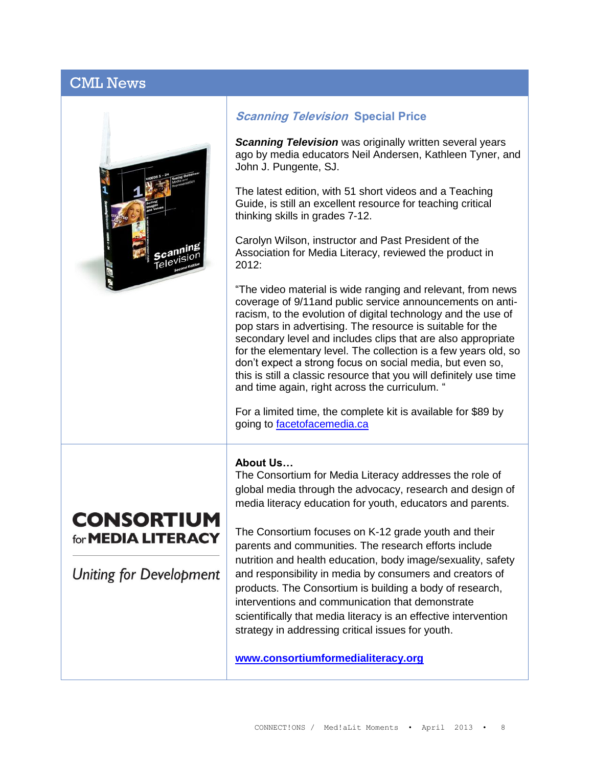### CML News



#### **Scanning Television Special Price**

*Scanning Television* was originally written several years ago by media educators Neil Andersen, Kathleen Tyner, and John J. Pungente, SJ.

The latest edition, with 51 short videos and a Teaching Guide, is still an excellent resource for teaching critical thinking skills in grades 7-12.

Carolyn Wilson, instructor and Past President of the Association for Media Literacy, reviewed the product in 2012:

"The video material is wide ranging and relevant, from news coverage of 9/11and public service announcements on antiracism, to the evolution of digital technology and the use of pop stars in advertising. The resource is suitable for the secondary level and includes clips that are also appropriate for the elementary level. The collection is a few years old, so don't expect a strong focus on social media, but even so, this is still a classic resource that you will definitely use time and time again, right across the curriculum. "

For a limited time, the complete kit is available for \$89 by going to [facetofacemedia.ca](http://www.facetofacemedia.ca/page.php?sectionID=3)

#### **About Us…**

The Consortium for Media Literacy addresses the role of global media through the advocacy, research and design of media literacy education for youth, educators and parents.

## **CONSORTIUM** for **MEDIA LITERACY**

**Uniting for Development** 

The Consortium focuses on K-12 grade youth and their parents and communities. The research efforts include nutrition and health education, body image/sexuality, safety and responsibility in media by consumers and creators of products. The Consortium is building a body of research, interventions and communication that demonstrate scientifically that media literacy is an effective intervention strategy in addressing critical issues for youth.

**[www.consortiumformedialiteracy.org](http://www.consortiumformedialiteracy.org/)**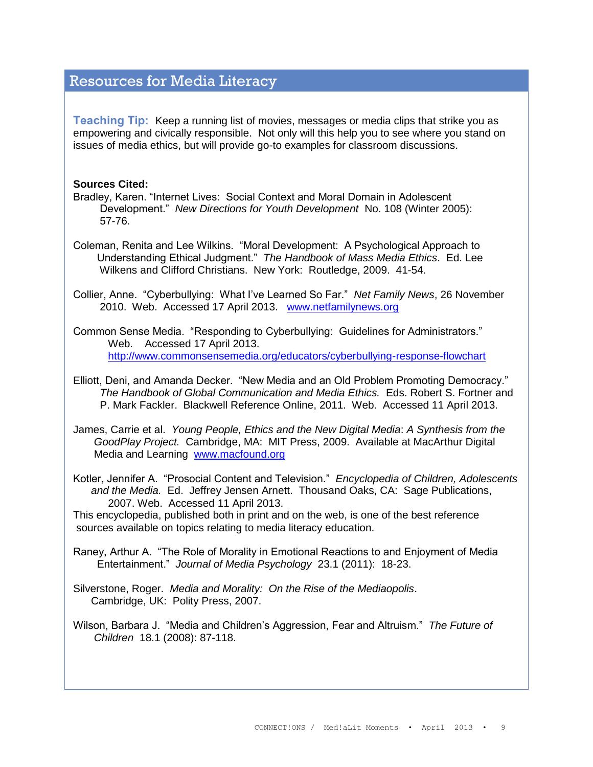### Resources for Media Literacy

**Teaching Tip:** Keep a running list of movies, messages or media clips that strike you as empowering and civically responsible. Not only will this help you to see where you stand on issues of media ethics, but will provide go-to examples for classroom discussions.

#### **Sources Cited:**

- Bradley, Karen. "Internet Lives: Social Context and Moral Domain in Adolescent Development." *New Directions for Youth Development* No. 108 (Winter 2005): 57-76.
- Coleman, Renita and Lee Wilkins. "Moral Development: A Psychological Approach to Understanding Ethical Judgment." *The Handbook of Mass Media Ethics*. Ed. Lee Wilkens and Clifford Christians. New York: Routledge, 2009. 41-54.

Collier, Anne. "Cyberbullying: What I've Learned So Far." *Net Family News*, 26 November 2010. Web. Accessed 17 April 2013. [www.netfamilynews.org](http://www.netfamilynews.org/)

Common Sense Media. "Responding to Cyberbullying: Guidelines for Administrators." Web. Accessed 17 April 2013. <http://www.commonsensemedia.org/educators/cyberbullying-response-flowchart>

Elliott, Deni, and Amanda Decker. "New Media and an Old Problem Promoting Democracy." *The Handbook of Global Communication and Media Ethics.* Eds. Robert S. Fortner and P. Mark Fackler. Blackwell Reference Online, 2011. Web. Accessed 11 April 2013.

James, Carrie et al. *Young People, Ethics and the New Digital Media*: *A Synthesis from the GoodPlay Project.* Cambridge, MA: MIT Press, 2009. Available at MacArthur Digital Media and Learning [www.macfound.org](http://www.macfound.org/)

Kotler, Jennifer A. "Prosocial Content and Television." *Encyclopedia of Children, Adolescents and the Media.* Ed. Jeffrey Jensen Arnett. Thousand Oaks, CA: Sage Publications, 2007. Web. Accessed 11 April 2013.

This encyclopedia, published both in print and on the web, is one of the best reference sources available on topics relating to media literacy education.

Raney, Arthur A. "The Role of Morality in Emotional Reactions to and Enjoyment of Media Entertainment." *Journal of Media Psychology* 23.1 (2011): 18-23.

Silverstone, Roger. *Media and Morality: On the Rise of the Mediaopolis*. Cambridge, UK: Polity Press, 2007.

Wilson, Barbara J. "Media and Children's Aggression, Fear and Altruism." *The Future of Children* 18.1 (2008): 87-118.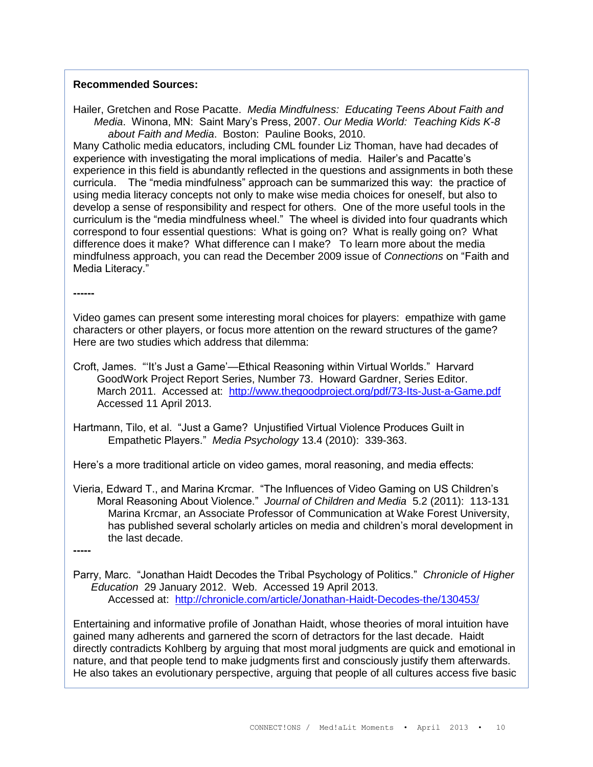#### **Recommended Sources:**

Hailer, Gretchen and Rose Pacatte. *Media Mindfulness: Educating Teens About Faith and Media*. Winona, MN: Saint Mary's Press, 2007. *Our Media World: Teaching Kids K-8 about Faith and Media*. Boston: Pauline Books, 2010.

Many Catholic media educators, including CML founder Liz Thoman, have had decades of experience with investigating the moral implications of media. Hailer's and Pacatte's experience in this field is abundantly reflected in the questions and assignments in both these curricula. The "media mindfulness" approach can be summarized this way: the practice of using media literacy concepts not only to make wise media choices for oneself, but also to develop a sense of responsibility and respect for others. One of the more useful tools in the curriculum is the "media mindfulness wheel." The wheel is divided into four quadrants which correspond to four essential questions: What is going on? What is really going on? What difference does it make? What difference can I make? To learn more about the media mindfulness approach, you can read the December 2009 issue of *Connections* on "Faith and Media Literacy."

**------**

Video games can present some interesting moral choices for players: empathize with game characters or other players, or focus more attention on the reward structures of the game? Here are two studies which address that dilemma:

- Croft, James. "'It's Just a Game'—Ethical Reasoning within Virtual Worlds." Harvard GoodWork Project Report Series, Number 73. Howard Gardner, Series Editor. March 2011. Accessed at: <http://www.thegoodproject.org/pdf/73-Its-Just-a-Game.pdf> Accessed 11 April 2013.
- Hartmann, Tilo, et al. "Just a Game? Unjustified Virtual Violence Produces Guilt in Empathetic Players." *Media Psychology* 13.4 (2010): 339-363.

Here's a more traditional article on video games, moral reasoning, and media effects:

Vieria, Edward T., and Marina Krcmar. "The Influences of Video Gaming on US Children's Moral Reasoning About Violence." *Journal of Children and Media* 5.2 (2011): 113-131 Marina Krcmar, an Associate Professor of Communication at Wake Forest University, has published several scholarly articles on media and children's moral development in the last decade.

**-----**

Parry, Marc. "Jonathan Haidt Decodes the Tribal Psychology of Politics." *Chronicle of Higher Education* 29 January 2012. Web. Accessed 19 April 2013. Accessed at: <http://chronicle.com/article/Jonathan-Haidt-Decodes-the/130453/>

Entertaining and informative profile of Jonathan Haidt, whose theories of moral intuition have gained many adherents and garnered the scorn of detractors for the last decade. Haidt directly contradicts Kohlberg by arguing that most moral judgments are quick and emotional in nature, and that people tend to make judgments first and consciously justify them afterwards. He also takes an evolutionary perspective, arguing that people of all cultures access five basic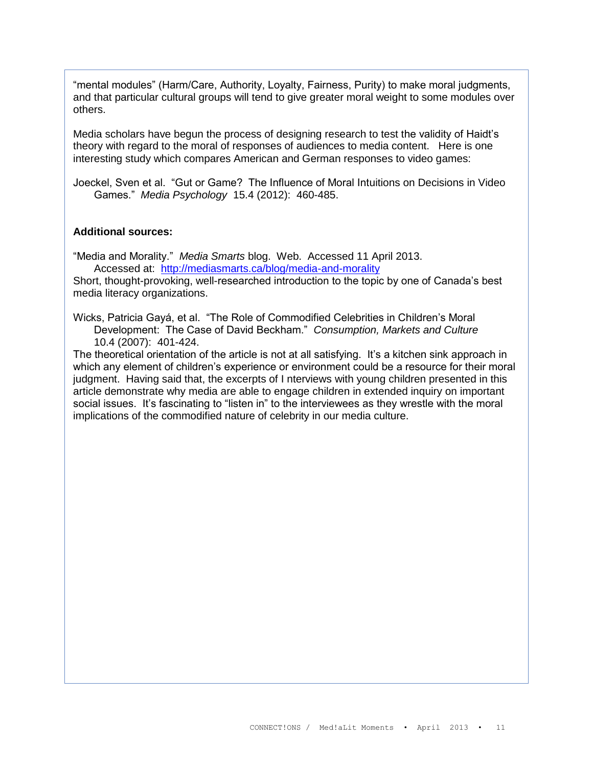"mental modules" (Harm/Care, Authority, Loyalty, Fairness, Purity) to make moral judgments, and that particular cultural groups will tend to give greater moral weight to some modules over others.

Media scholars have begun the process of designing research to test the validity of Haidt's theory with regard to the moral of responses of audiences to media content. Here is one interesting study which compares American and German responses to video games:

Joeckel, Sven et al. "Gut or Game? The Influence of Moral Intuitions on Decisions in Video Games." *Media Psychology* 15.4 (2012): 460-485.

#### **Additional sources:**

"Media and Morality." *Media Smarts* blog. Web. Accessed 11 April 2013. Accessed at: <http://mediasmarts.ca/blog/media-and-morality>

Short, thought-provoking, well-researched introduction to the topic by one of Canada's best media literacy organizations.

Wicks, Patricia Gayá, et al. "The Role of Commodified Celebrities in Children's Moral Development: The Case of David Beckham." *Consumption, Markets and Culture* 10.4 (2007): 401-424.

The theoretical orientation of the article is not at all satisfying. It's a kitchen sink approach in which any element of children's experience or environment could be a resource for their moral judgment. Having said that, the excerpts of I nterviews with young children presented in this article demonstrate why media are able to engage children in extended inquiry on important social issues. It's fascinating to "listen in" to the interviewees as they wrestle with the moral implications of the commodified nature of celebrity in our media culture.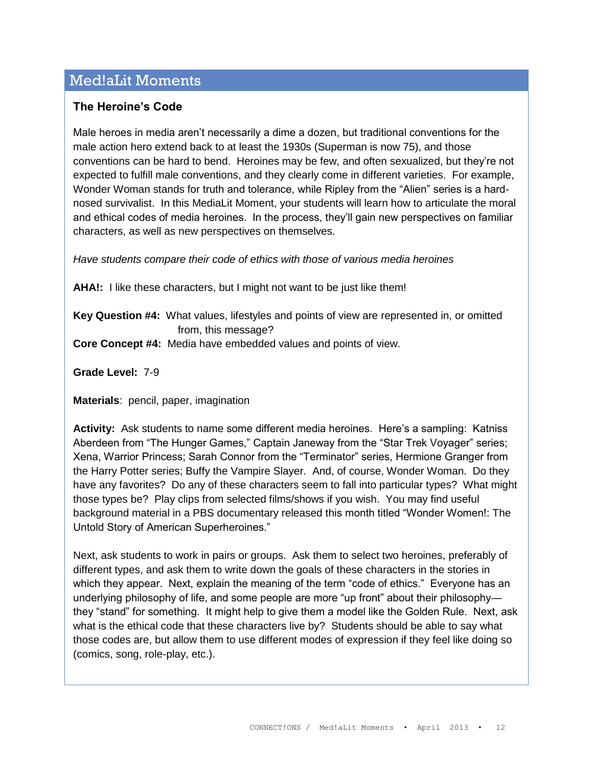### Med!aLit Moments

#### **The Heroine's Code**

Male heroes in media aren't necessarily a dime a dozen, but traditional conventions for the male action hero extend back to at least the 1930s (Superman is now 75), and those conventions can be hard to bend. Heroines may be few, and often sexualized, but they're not expected to fulfill male conventions, and they clearly come in different varieties. For example, Wonder Woman stands for truth and tolerance, while Ripley from the "Alien" series is a hardnosed survivalist. In this MediaLit Moment, your students will learn how to articulate the moral and ethical codes of media heroines. In the process, they'll gain new perspectives on familiar characters, as well as new perspectives on themselves.

*Have students compare their code of ethics with those of various media heroines*

**AHA!:** I like these characters, but I might not want to be just like them!

**Key Question #4:** What values, lifestyles and points of view are represented in, or omitted from, this message?

**Core Concept #4:** Media have embedded values and points of view.

**Grade Level:** 7-9

**Materials**: pencil, paper, imagination

**Activity:** Ask students to name some different media heroines. Here's a sampling: Katniss Aberdeen from "The Hunger Games," Captain Janeway from the "Star Trek Voyager" series; Xena, Warrior Princess; Sarah Connor from the "Terminator" series, Hermione Granger from the Harry Potter series; Buffy the Vampire Slayer. And, of course, Wonder Woman. Do they have any favorites? Do any of these characters seem to fall into particular types? What might those types be? Play clips from selected films/shows if you wish. You may find useful background material in a PBS documentary released this month titled "Wonder Women!: The Untold Story of American Superheroines."

Next, ask students to work in pairs or groups. Ask them to select two heroines, preferably of different types, and ask them to write down the goals of these characters in the stories in which they appear. Next, explain the meaning of the term "code of ethics." Everyone has an underlying philosophy of life, and some people are more "up front" about their philosophy they "stand" for something. It might help to give them a model like the Golden Rule. Next, ask what is the ethical code that these characters live by? Students should be able to say what those codes are, but allow them to use different modes of expression if they feel like doing so (comics, song, role-play, etc.).